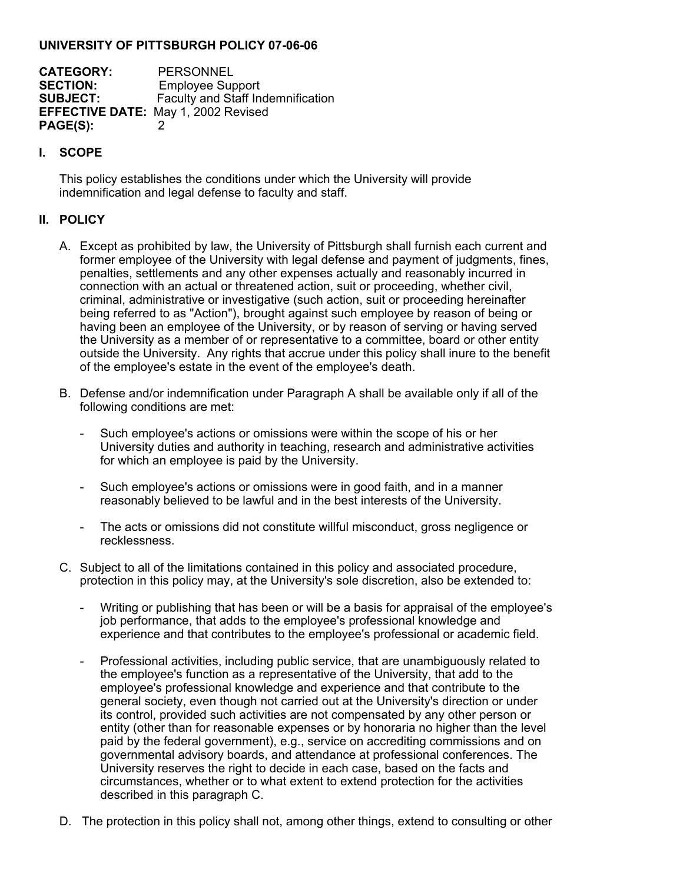## **UNIVERSITY OF PITTSBURGH POLICY 07-06-06**

**CATEGORY:** PERSONNEL<br> **SECTION:** Emplovee Sur **SECTION:** Employee Support<br> **SUBJECT:** Faculty and Staff In **Faculty and Staff Indemnification EFFECTIVE DATE:** May 1, 2002 Revised **PAGE(S):** 2

## **I. SCOPE**

This policy establishes the conditions under which the University will provide indemnification and legal defense to faculty and staff.

## **II. POLICY**

- A. Except as prohibited by law, the University of Pittsburgh shall furnish each current and former employee of the University with legal defense and payment of judgments, fines, penalties, settlements and any other expenses actually and reasonably incurred in connection with an actual or threatened action, suit or proceeding, whether civil, criminal, administrative or investigative (such action, suit or proceeding hereinafter being referred to as "Action"), brought against such employee by reason of being or having been an employee of the University, or by reason of serving or having served the University as a member of or representative to a committee, board or other entity outside the University. Any rights that accrue under this policy shall inure to the benefit of the employee's estate in the event of the employee's death.
- B. Defense and/or indemnification under Paragraph A shall be available only if all of the following conditions are met:
	- Such employee's actions or omissions were within the scope of his or her University duties and authority in teaching, research and administrative activities for which an employee is paid by the University.
	- Such employee's actions or omissions were in good faith, and in a manner reasonably believed to be lawful and in the best interests of the University.
	- The acts or omissions did not constitute willful misconduct, gross negligence or recklessness.
- C. Subject to all of the limitations contained in this policy and associated procedure, protection in this policy may, at the University's sole discretion, also be extended to:
	- Writing or publishing that has been or will be a basis for appraisal of the employee's job performance, that adds to the employee's professional knowledge and experience and that contributes to the employee's professional or academic field.
	- Professional activities, including public service, that are unambiguously related to the employee's function as a representative of the University, that add to the employee's professional knowledge and experience and that contribute to the general society, even though not carried out at the University's direction or under its control, provided such activities are not compensated by any other person or entity (other than for reasonable expenses or by honoraria no higher than the level paid by the federal government), e.g., service on accrediting commissions and on governmental advisory boards, and attendance at professional conferences. The University reserves the right to decide in each case, based on the facts and circumstances, whether or to what extent to extend protection for the activities described in this paragraph C.
- D. The protection in this policy shall not, among other things, extend to consulting or other